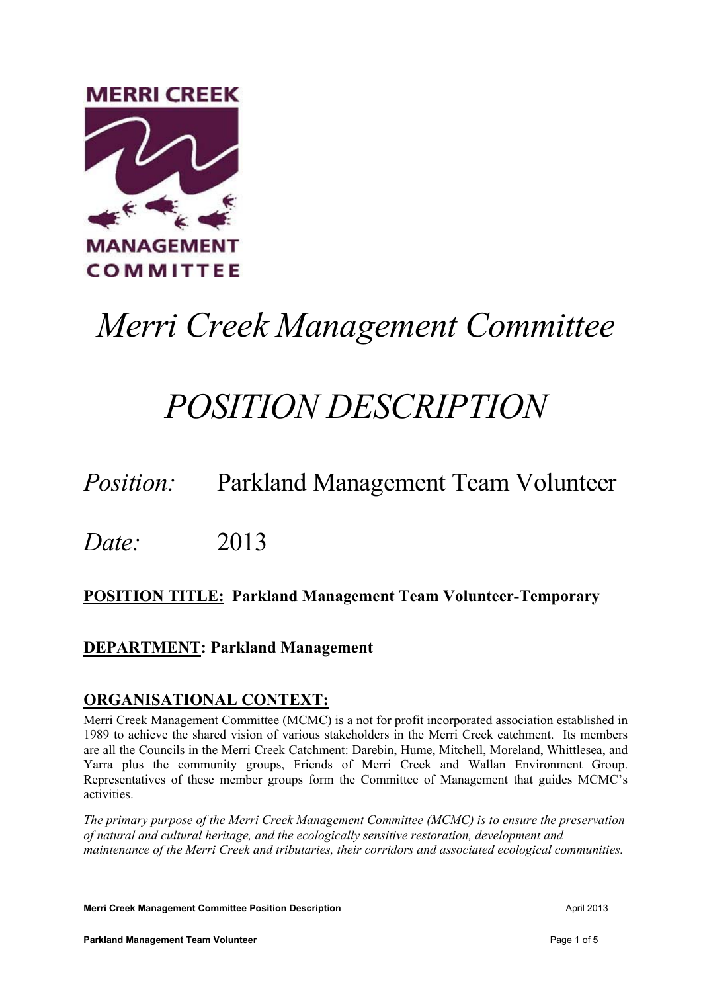

# *Merri Creek Management Committee*

## *POSITION DESCRIPTION*

## *Position:* Parkland Management Team Volunteer

*Date:* 2013

## **POSITION TITLE: Parkland Management Team Volunteer-Temporary**

### **DEPARTMENT: Parkland Management**

### **ORGANISATIONAL CONTEXT:**

Merri Creek Management Committee (MCMC) is a not for profit incorporated association established in 1989 to achieve the shared vision of various stakeholders in the Merri Creek catchment. Its members are all the Councils in the Merri Creek Catchment: Darebin, Hume, Mitchell, Moreland, Whittlesea, and Yarra plus the community groups, Friends of Merri Creek and Wallan Environment Group. Representatives of these member groups form the Committee of Management that guides MCMC's activities.

*The primary purpose of the Merri Creek Management Committee (MCMC) is to ensure the preservation of natural and cultural heritage, and the ecologically sensitive restoration, development and maintenance of the Merri Creek and tributaries, their corridors and associated ecological communities.* 

**Merri Creek Management Committee Position Description April 2013** April 2013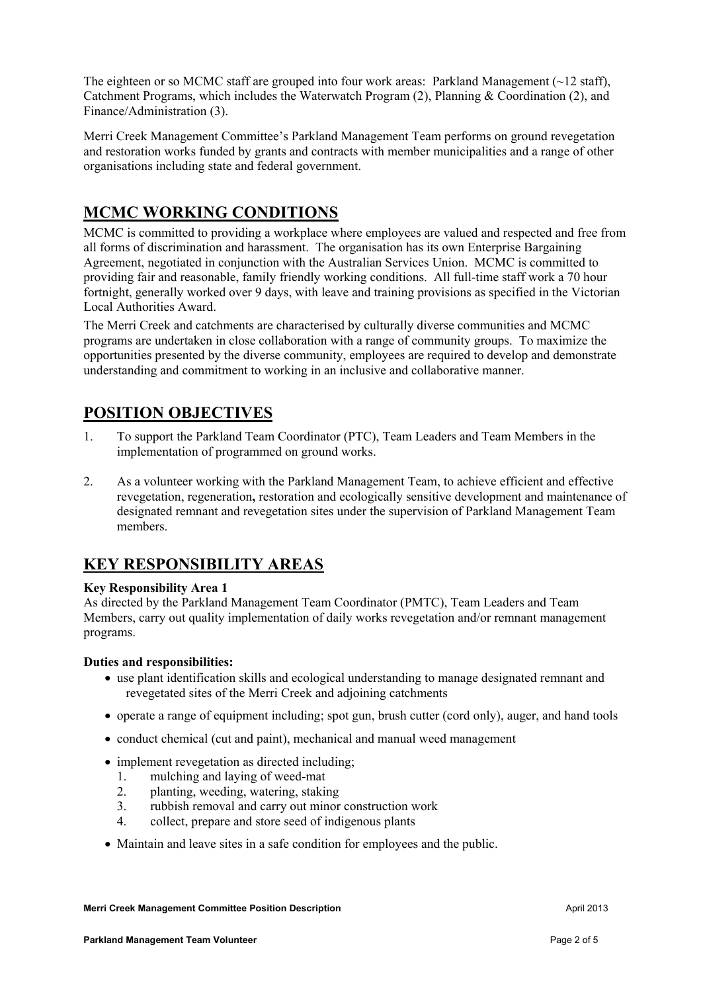The eighteen or so MCMC staff are grouped into four work areas: Parkland Management  $(\sim 12 \text{ staff})$ , Catchment Programs, which includes the Waterwatch Program (2), Planning & Coordination (2), and Finance/Administration (3).

Merri Creek Management Committee's Parkland Management Team performs on ground revegetation and restoration works funded by grants and contracts with member municipalities and a range of other organisations including state and federal government.

### **MCMC WORKING CONDITIONS**

MCMC is committed to providing a workplace where employees are valued and respected and free from all forms of discrimination and harassment. The organisation has its own Enterprise Bargaining Agreement, negotiated in conjunction with the Australian Services Union. MCMC is committed to providing fair and reasonable, family friendly working conditions. All full-time staff work a 70 hour fortnight, generally worked over 9 days, with leave and training provisions as specified in the Victorian Local Authorities Award.

The Merri Creek and catchments are characterised by culturally diverse communities and MCMC programs are undertaken in close collaboration with a range of community groups. To maximize the opportunities presented by the diverse community, employees are required to develop and demonstrate understanding and commitment to working in an inclusive and collaborative manner.

## **POSITION OBJECTIVES**

- 1. To support the Parkland Team Coordinator (PTC), Team Leaders and Team Members in the implementation of programmed on ground works.
- 2. As a volunteer working with the Parkland Management Team, to achieve efficient and effective revegetation, regeneration**,** restoration and ecologically sensitive development and maintenance of designated remnant and revegetation sites under the supervision of Parkland Management Team members.

## **KEY RESPONSIBILITY AREAS**

#### **Key Responsibility Area 1**

As directed by the Parkland Management Team Coordinator (PMTC), Team Leaders and Team Members, carry out quality implementation of daily works revegetation and/or remnant management programs.

#### **Duties and responsibilities:**

- use plant identification skills and ecological understanding to manage designated remnant and revegetated sites of the Merri Creek and adjoining catchments
- operate a range of equipment including; spot gun, brush cutter (cord only), auger, and hand tools
- conduct chemical (cut and paint), mechanical and manual weed management
- implement revegetation as directed including;
	- 1. mulching and laying of weed-mat
	- 2. planting, weeding, watering, staking
	- 3. rubbish removal and carry out minor construction work
	- 4. collect, prepare and store seed of indigenous plants
- Maintain and leave sites in a safe condition for employees and the public.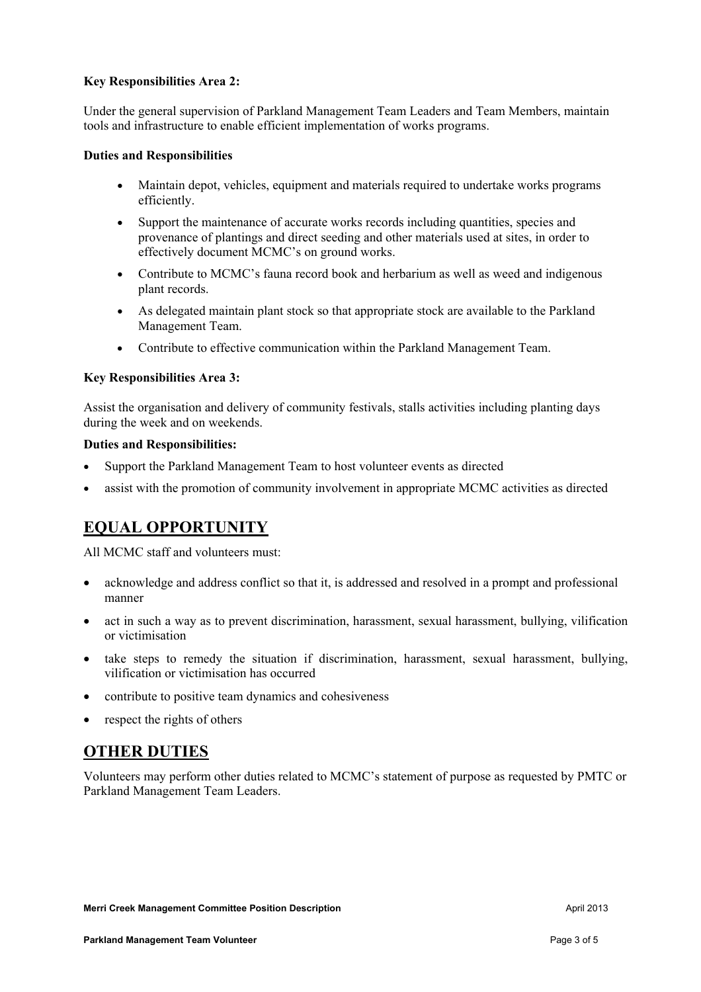#### **Key Responsibilities Area 2:**

Under the general supervision of Parkland Management Team Leaders and Team Members, maintain tools and infrastructure to enable efficient implementation of works programs.

#### **Duties and Responsibilities**

- Maintain depot, vehicles, equipment and materials required to undertake works programs efficiently.
- Support the maintenance of accurate works records including quantities, species and provenance of plantings and direct seeding and other materials used at sites, in order to effectively document MCMC's on ground works.
- Contribute to MCMC's fauna record book and herbarium as well as weed and indigenous plant records.
- As delegated maintain plant stock so that appropriate stock are available to the Parkland Management Team.
- Contribute to effective communication within the Parkland Management Team.

#### **Key Responsibilities Area 3:**

Assist the organisation and delivery of community festivals, stalls activities including planting days during the week and on weekends.

#### **Duties and Responsibilities:**

- Support the Parkland Management Team to host volunteer events as directed
- assist with the promotion of community involvement in appropriate MCMC activities as directed

## **EQUAL OPPORTUNITY**

All MCMC staff and volunteers must:

- acknowledge and address conflict so that it, is addressed and resolved in a prompt and professional manner
- act in such a way as to prevent discrimination, harassment, sexual harassment, bullying, vilification or victimisation
- take steps to remedy the situation if discrimination, harassment, sexual harassment, bullying, vilification or victimisation has occurred
- contribute to positive team dynamics and cohesiveness
- respect the rights of others

### **OTHER DUTIES**

Volunteers may perform other duties related to MCMC's statement of purpose as requested by PMTC or Parkland Management Team Leaders.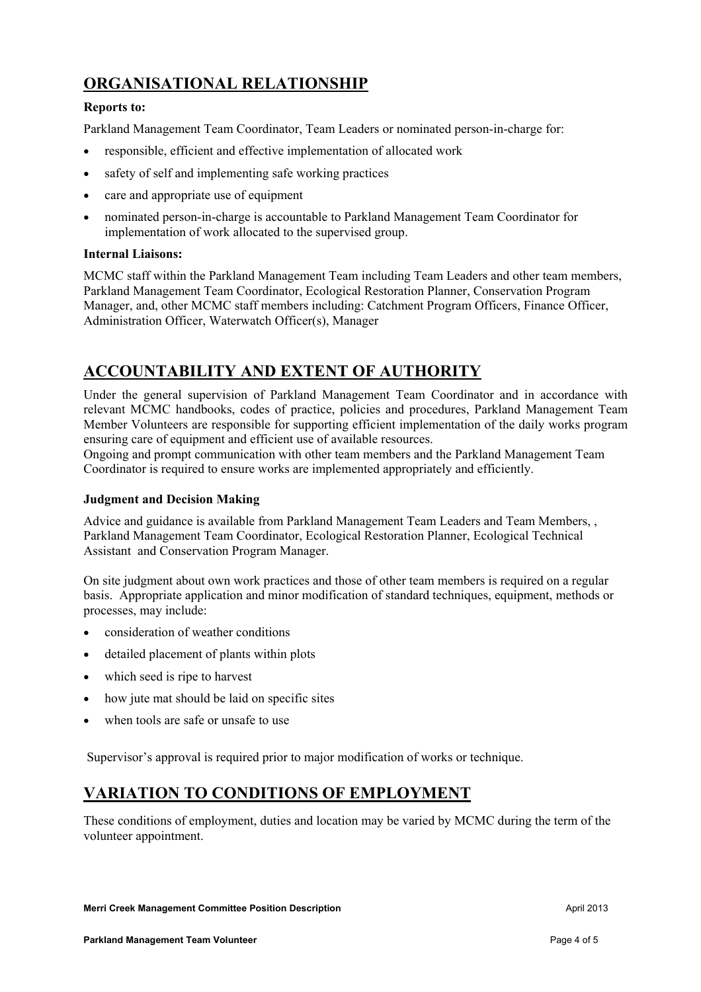## **ORGANISATIONAL RELATIONSHIP**

#### **Reports to:**

Parkland Management Team Coordinator, Team Leaders or nominated person-in-charge for:

- responsible, efficient and effective implementation of allocated work
- safety of self and implementing safe working practices
- care and appropriate use of equipment
- nominated person-in-charge is accountable to Parkland Management Team Coordinator for implementation of work allocated to the supervised group.

#### **Internal Liaisons:**

MCMC staff within the Parkland Management Team including Team Leaders and other team members, Parkland Management Team Coordinator, Ecological Restoration Planner, Conservation Program Manager, and, other MCMC staff members including: Catchment Program Officers, Finance Officer, Administration Officer, Waterwatch Officer(s), Manager

## **ACCOUNTABILITY AND EXTENT OF AUTHORITY**

Under the general supervision of Parkland Management Team Coordinator and in accordance with relevant MCMC handbooks, codes of practice, policies and procedures, Parkland Management Team Member Volunteers are responsible for supporting efficient implementation of the daily works program ensuring care of equipment and efficient use of available resources.

Ongoing and prompt communication with other team members and the Parkland Management Team Coordinator is required to ensure works are implemented appropriately and efficiently.

#### **Judgment and Decision Making**

Advice and guidance is available from Parkland Management Team Leaders and Team Members, , Parkland Management Team Coordinator, Ecological Restoration Planner, Ecological Technical Assistant and Conservation Program Manager.

On site judgment about own work practices and those of other team members is required on a regular basis. Appropriate application and minor modification of standard techniques, equipment, methods or processes, may include:

- consideration of weather conditions
- detailed placement of plants within plots
- which seed is ripe to harvest
- how jute mat should be laid on specific sites
- when tools are safe or unsafe to use

Supervisor's approval is required prior to major modification of works or technique.

### **VARIATION TO CONDITIONS OF EMPLOYMENT**

These conditions of employment, duties and location may be varied by MCMC during the term of the volunteer appointment.